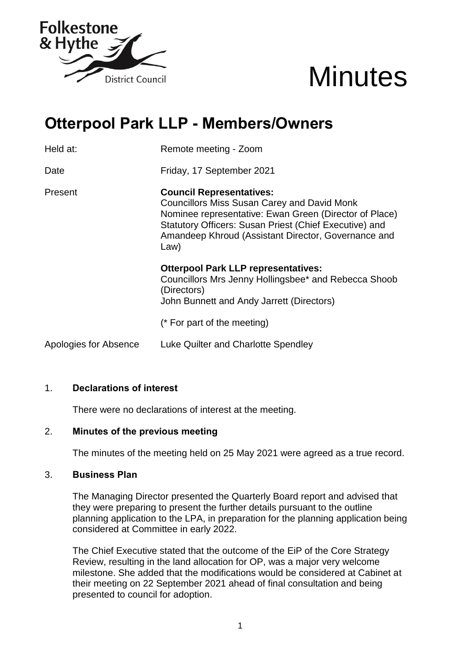



# **Otterpool Park LLP - Members/Owners**

Held at: Remote meeting - Zoom Date Friday, 17 September 2021 Present **Council Representatives:** Councillors Miss Susan Carey and David Monk Nominee representative: Ewan Green (Director of Place) Statutory Officers: Susan Priest (Chief Executive) and Amandeep Khroud (Assistant Director, Governance and Law) **Otterpool Park LLP representatives:** Councillors Mrs Jenny Hollingsbee\* and Rebecca Shoob (Directors) John Bunnett and Andy Jarrett (Directors)

(\* For part of the meeting)

Apologies for Absence Luke Quilter and Charlotte Spendley

## 1. **Declarations of interest**

There were no declarations of interest at the meeting.

## 2. **Minutes of the previous meeting**

The minutes of the meeting held on 25 May 2021 were agreed as a true record.

#### 3. **Business Plan**

The Managing Director presented the Quarterly Board report and advised that they were preparing to present the further details pursuant to the outline planning application to the LPA, in preparation for the planning application being considered at Committee in early 2022.

The Chief Executive stated that the outcome of the EiP of the Core Strategy Review, resulting in the land allocation for OP, was a major very welcome milestone. She added that the modifications would be considered at Cabinet at their meeting on 22 September 2021 ahead of final consultation and being presented to council for adoption.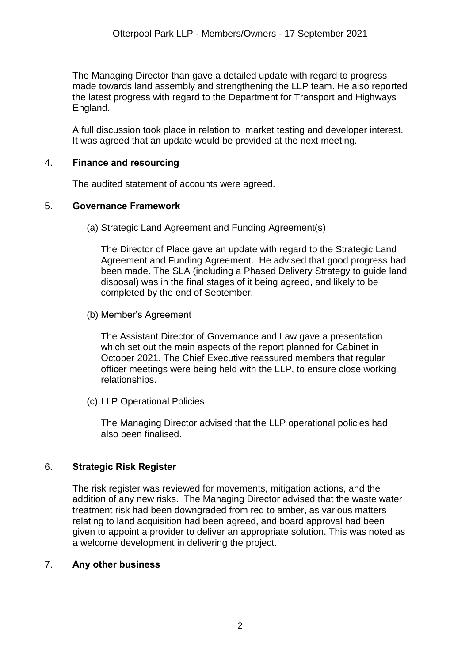The Managing Director than gave a detailed update with regard to progress made towards land assembly and strengthening the LLP team. He also reported the latest progress with regard to the Department for Transport and Highways England.

A full discussion took place in relation to market testing and developer interest. It was agreed that an update would be provided at the next meeting.

## 4. **Finance and resourcing**

The audited statement of accounts were agreed.

#### 5. **Governance Framework**

(a) Strategic Land Agreement and Funding Agreement(s)

The Director of Place gave an update with regard to the Strategic Land Agreement and Funding Agreement. He advised that good progress had been made. The SLA (including a Phased Delivery Strategy to guide land disposal) was in the final stages of it being agreed, and likely to be completed by the end of September.

(b) Member's Agreement

The Assistant Director of Governance and Law gave a presentation which set out the main aspects of the report planned for Cabinet in October 2021. The Chief Executive reassured members that regular officer meetings were being held with the LLP, to ensure close working relationships.

(c) LLP Operational Policies

The Managing Director advised that the LLP operational policies had also been finalised.

## 6. **Strategic Risk Register**

The risk register was reviewed for movements, mitigation actions, and the addition of any new risks. The Managing Director advised that the waste water treatment risk had been downgraded from red to amber, as various matters relating to land acquisition had been agreed, and board approval had been given to appoint a provider to deliver an appropriate solution. This was noted as a welcome development in delivering the project.

## 7. **Any other business**